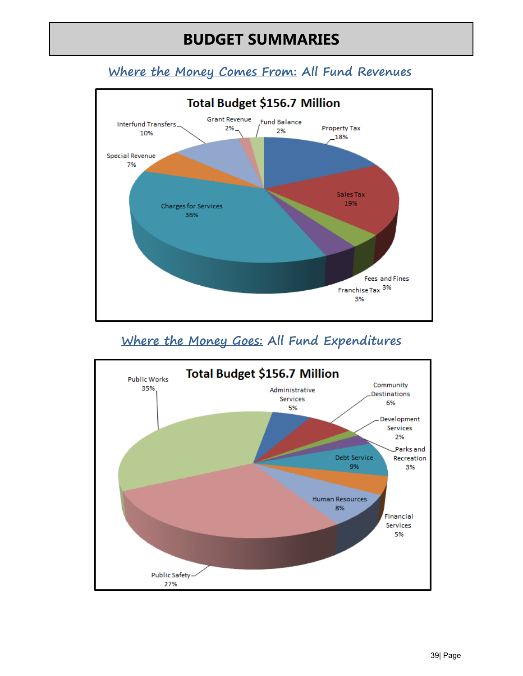# **BUDGET SUMMARIES**

## **Where the Money Comes From: All Fund Revenues**



## **Where the Money Goes: All Fund Expenditures**

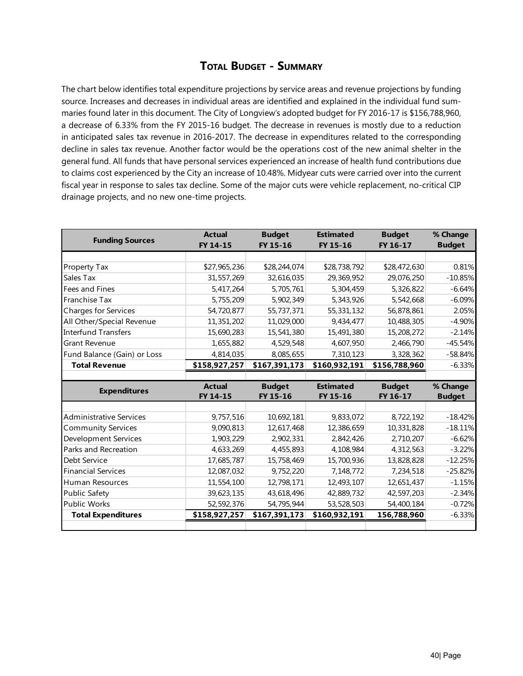### **Total Budget - Summary**

The chart below identifies total expenditure projections by service areas and revenue projections by funding source. Increases and decreases in individual areas are identified and explained in the individual fund summaries found later in this document. The City of Longview's adopted budget for FY 2016-17 is \$156,788,960, a decrease of 6.33% from the FY 2015-16 budget. The decrease in revenues is mostly due to a reduction in anticipated sales tax revenue in 2016-2017. The decrease in expenditures related to the corresponding decline in sales tax revenue. Another factor would be the operations cost of the new animal shelter in the general fund. All funds that have personal services experienced an increase of health fund contributions due to claims cost experienced by the City an increase of 10.48%. Midyear cuts were carried over into the current fiscal year in response to sales tax decline. Some of the major cuts were vehicle replacement, no-critical CIP drainage projects, and no new one-time projects.

| <b>Funding Sources</b>         | <b>Actual</b> | <b>Budget</b> | <b>Estimated</b> | <b>Budget</b> | % Change                                                                                                                 |
|--------------------------------|---------------|---------------|------------------|---------------|--------------------------------------------------------------------------------------------------------------------------|
|                                | FY 14-15      | FY 15-16      | FY 15-16         | FY 16-17      | <b>Budget</b>                                                                                                            |
|                                |               |               |                  |               |                                                                                                                          |
| Property Tax                   | \$27,965,236  | \$28,244,074  | \$28,738,792     | \$28,472,630  | 0.81%                                                                                                                    |
| Sales Tax                      | 31,557,269    | 32,616,035    | 29,369,952       | 29,076,250    | $-10.85%$                                                                                                                |
| Fees and Fines                 | 5,417,264     | 5,705,761     | 5,304,459        | 5,326,822     | $-6.64%$                                                                                                                 |
| Franchise Tax                  | 5,755,209     | 5,902,349     | 5,343,926        | 5,542,668     | $-6.09%$                                                                                                                 |
| <b>Charges for Services</b>    | 54,720,877    | 55,737,371    | 55,331,132       | 56,878,861    | 2.05%                                                                                                                    |
| All Other/Special Revenue      | 11,351,202    | 11,029,000    | 9,434,477        | 10,488,305    | $-4.90%$                                                                                                                 |
| <b>Interfund Transfers</b>     | 15,690,283    | 15,541,380    | 15,491,380       | 15,208,272    | $-2.14%$                                                                                                                 |
| <b>Grant Revenue</b>           | 1,655,882     | 4,529,548     | 4,607,950        | 2,466,790     | $-45.54%$                                                                                                                |
| Fund Balance (Gain) or Loss    | 4,814,035     | 8,085,655     | 7,310,123        | 3,328,362     | $-58.84%$                                                                                                                |
| <b>Total Revenue</b>           | \$158,927,257 | \$167,391,173 | \$160,932,191    | \$156,788,960 | $-6.33%$                                                                                                                 |
|                                |               |               |                  |               |                                                                                                                          |
|                                |               |               |                  |               |                                                                                                                          |
|                                | <b>Actual</b> | <b>Budget</b> | <b>Estimated</b> | <b>Budget</b> | % Change                                                                                                                 |
| <b>Expenditures</b>            | FY 14-15      | FY 15-16      | FY 15-16         | FY 16-17      | <b>Budget</b>                                                                                                            |
|                                |               |               |                  |               |                                                                                                                          |
| <b>Administrative Services</b> | 9,757,516     | 10,692,181    | 9,833,072        | 8,722,192     |                                                                                                                          |
| <b>Community Services</b>      | 9,090,813     | 12,617,468    | 12,386,659       | 10,331,828    |                                                                                                                          |
| Development Services           | 1,903,229     | 2,902,331     | 2,842,426        | 2,710,207     |                                                                                                                          |
| Parks and Recreation           | 4,633,269     | 4,455,893     | 4,108,984        | 4,312,563     |                                                                                                                          |
| Debt Service                   | 17,685,787    | 15,758,469    | 15,700,936       | 13,828,828    |                                                                                                                          |
| <b>Financial Services</b>      | 12,087,032    | 9,752,220     | 7,148,772        | 7,234,518     |                                                                                                                          |
| Human Resources                | 11,554,100    | 12,798,171    | 12,493,107       | 12,651,437    |                                                                                                                          |
| <b>Public Safety</b>           | 39,623,135    | 43,618,496    | 42,889,732       | 42,597,203    |                                                                                                                          |
| <b>Public Works</b>            | 52,592,376    | 54,795,944    | 53,528,503       | 54,400,184    |                                                                                                                          |
| <b>Total Expenditures</b>      | \$158,927,257 | \$167,391,173 | \$160,932,191    | 156,788,960   | $-18.42%$<br>$-18.11%$<br>$-6.62%$<br>$-3.22%$<br>$-12.25%$<br>$-25.82%$<br>$-1.15%$<br>$-2.34%$<br>$-0.72%$<br>$-6.33%$ |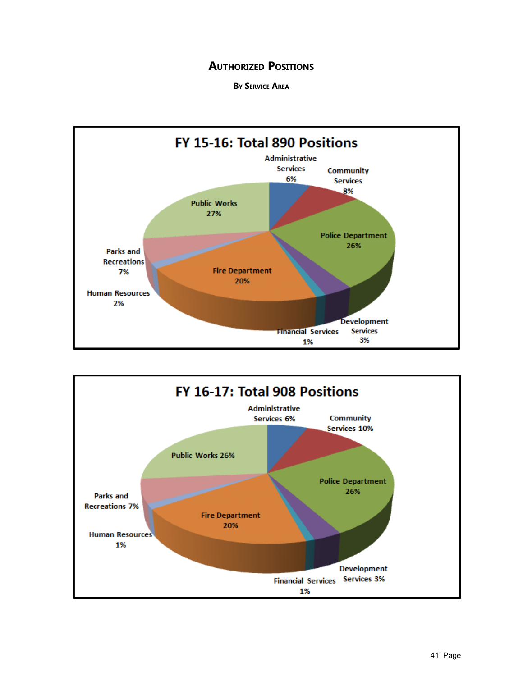### **AUTHORIZED POSITIONS**

**By Service Area**



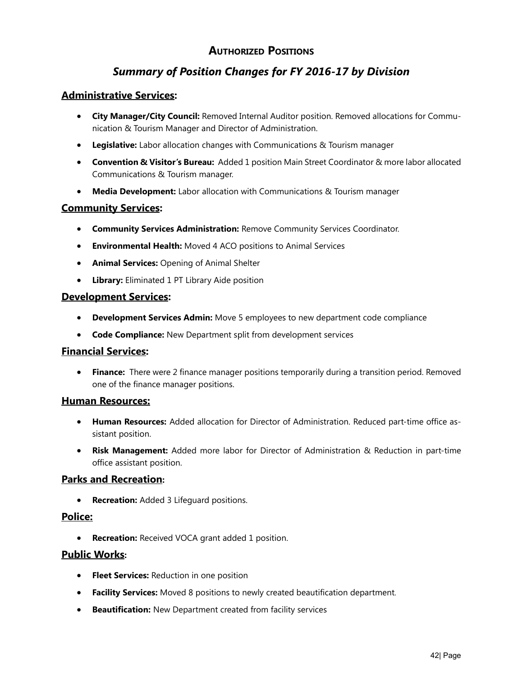## **Authorized Positions**

## *Summary of Position Changes for FY 2016-17 by Division*

#### **Administrative Services:**

- **City Manager/City Council:** Removed Internal Auditor position. Removed allocations for Communication & Tourism Manager and Director of Administration.
- **Legislative:** Labor allocation changes with Communications & Tourism manager
- **Convention & Visitor's Bureau:** Added 1 position Main Street Coordinator & more labor allocated Communications & Tourism manager.
- **Media Development:** Labor allocation with Communications & Tourism manager

#### **Community Services:**

- **Community Services Administration:** Remove Community Services Coordinator.
- **Environmental Health:** Moved 4 ACO positions to Animal Services
- **Animal Services:** Opening of Animal Shelter
- **Library:** Eliminated 1 PT Library Aide position

#### **Development Services:**

- **Development Services Admin:** Move 5 employees to new department code compliance
- **Code Compliance:** New Department split from development services

#### **Financial Services:**

• **Finance:** There were 2 finance manager positions temporarily during a transition period. Removed one of the finance manager positions.

#### **Human Resources:**

- **Human Resources:** Added allocation for Director of Administration. Reduced part-time office assistant position.
- **Risk Management:** Added more labor for Director of Administration & Reduction in part-time office assistant position.

#### **Parks and Recreation:**

• **Recreation:** Added 3 Lifeguard positions.

#### **Police:**

• **Recreation:** Received VOCA grant added 1 position.

#### **Public Works:**

- **Fleet Services:** Reduction in one position
- **Facility Services:** Moved 8 positions to newly created beautification department.
- **Beautification:** New Department created from facility services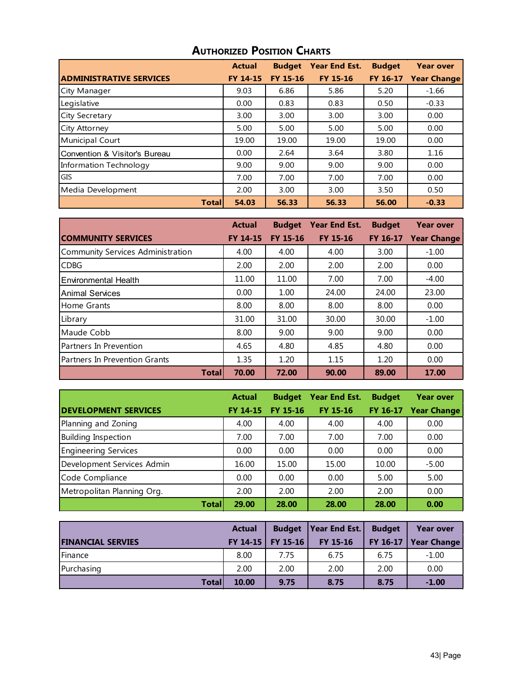|                                | <b>Actual</b>   | <b>Budget</b>   | <b>Year End Est.</b> | <b>Budget</b> | <b>Year over</b>   |
|--------------------------------|-----------------|-----------------|----------------------|---------------|--------------------|
| <b>ADMINISTRATIVE SERVICES</b> | <b>FY 14-15</b> | <b>FY 15-16</b> | <b>FY 15-16</b>      | FY 16-17      | <b>Year Change</b> |
| City Manager                   | 9.03            | 6.86            | 5.86                 | 5.20          | $-1.66$            |
| Legislative                    | 0.00            | 0.83            | 0.83                 | 0.50          | $-0.33$            |
| <b>City Secretary</b>          | 3.00            | 3.00            | 3.00                 | 3.00          | 0.00               |
| City Attorney                  | 5.00            | 5.00            | 5.00                 | 5.00          | 0.00               |
| Municipal Court                | 19.00           | 19.00           | 19.00                | 19.00         | 0.00               |
| Convention & Visitor's Bureau  | 0.00            | 2.64            | 3.64                 | 3.80          | 1.16               |
| Information Technology         | 9.00            | 9.00            | 9.00                 | 9.00          | 0.00               |
| <b>GIS</b>                     | 7.00            | 7.00            | 7.00                 | 7.00          | 0.00               |
| Media Development              | 2.00            | 3.00            | 3.00                 | 3.50          | 0.50               |
| <b>Total</b>                   | 54.03           | 56.33           | 56.33                | 56.00         | $-0.33$            |

## **Authorized Position Charts**

|                                   | <b>Actual</b>   | <b>Budget</b> | <b>Year End Est.</b> | <b>Budget</b> | <b>Year over</b>   |
|-----------------------------------|-----------------|---------------|----------------------|---------------|--------------------|
| <b>COMMUNITY SERVICES</b>         | <b>FY 14-15</b> | FY 15-16      | <b>FY 15-16</b>      | FY 16-17      | <b>Year Change</b> |
| Community Services Administration | 4.00            | 4.00          | 4.00                 | 3.00          | $-1.00$            |
| <b>CDBG</b>                       | 2.00            | 2.00          | 2.00                 | 2.00          | 0.00               |
| <b>Environmental Health</b>       | 11.00           | 11.00         | 7.00                 | 7.00          | $-4.00$            |
| <b>Animal Services</b>            | 0.00            | 1.00          | 24.00                | 24.00         | 23.00              |
| Home Grants                       | 8.00            | 8.00          | 8.00                 | 8.00          | 0.00               |
| Library                           | 31.00           | 31.00         | 30.00                | 30.00         | $-1.00$            |
| Maude Cobb                        | 8.00            | 9.00          | 9.00                 | 9.00          | 0.00               |
| Partners In Prevention            | 4.65            | 4.80          | 4.85                 | 4.80          | 0.00               |
| Partners In Prevention Grants     | 1.35            | 1.20          | 1.15                 | 1.20          | 0.00               |
| <b>Total</b>                      | 70.00           | 72.00         | 90.00                | 89.00         | 17.00              |

|                             | <b>Actual</b> | <b>Budget</b>   | <b>Year End Est.</b> | <b>Budget</b> | <b>Year over</b>   |
|-----------------------------|---------------|-----------------|----------------------|---------------|--------------------|
| <b>DEVELOPMENT SERVICES</b> | FY 14-15      | <b>FY 15-16</b> | <b>FY 15-16</b>      | FY 16-17      | <b>Year Change</b> |
| Planning and Zoning         | 4.00          | 4.00            | 4.00                 | 4.00          | 0.00               |
| <b>Building Inspection</b>  | 7.00          | 7.00            | 7.00                 | 7.00          | 0.00               |
| <b>Engineering Services</b> | 0.00          | 0.00            | 0.00                 | 0.00          | 0.00               |
| Development Services Admin  | 16.00         | 15.00           | 15.00                | 10.00         | $-5.00$            |
| Code Compliance             | 0.00          | 0.00            | 0.00                 | 5.00          | 5.00               |
| Metropolitan Planning Org.  | 2.00          | 2.00            | 2.00                 | 2.00          | 0.00               |
| <b>Total</b>                | 29.00         | 28.00           | 28.00                | 28.00         | 0.00               |

|                          | <b>Actual</b> | <b>Budget</b>       | Year End Est. | <b>Budget</b> | <b>Year over</b>       |
|--------------------------|---------------|---------------------|---------------|---------------|------------------------|
| <b>FINANCIAL SERVIES</b> |               | FY 14-15   FY 15-16 | FY 15-16      |               | FY 16-17   Year Change |
| Finance                  | 8.00          | 7.75                | 6.75          | 6.75          | $-1.00$                |
| Purchasing               | 2.00          | 2.00                | 2.00          | 2.00          | 0.00                   |
| Totall                   | 10.00         | 9.75                | 8.75          | 8.75          | $-1.00$                |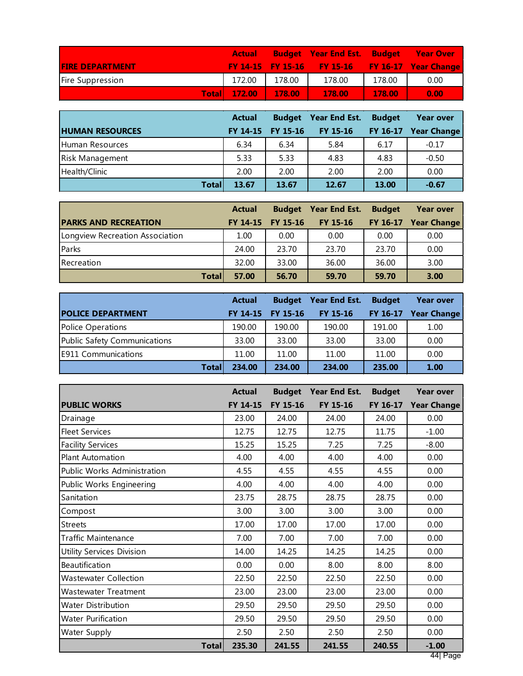|                        | <b>Actual</b> |        | <b>Budget</b> Year End Est. Budget Year Over    |        |      |
|------------------------|---------------|--------|-------------------------------------------------|--------|------|
| <b>FIRE DEPARTMENT</b> |               |        | FY 14-15 FY 15-16 FY 15-16 FY 16-17 Year Change |        |      |
| Fire Suppression       | 172.00        | 178.00 | 178.00                                          | 178.00 | 0.00 |
| <b>Totall</b>          | 172.00        | 178.00 | 178.00                                          | 178.00 | 0.00 |

|                        | <b>Actual</b>   | <b>Budget</b> | Year End Est.   | <b>Budget</b> | <b>Year over</b> |
|------------------------|-----------------|---------------|-----------------|---------------|------------------|
| <b>HUMAN RESOURCES</b> | <b>FY 14-15</b> | FY 15-16      | <b>FY 15-16</b> | FY 16-17      | Year Change      |
| Human Resources        | 6.34            | 6.34          | 5.84            | 6.17          | $-0.17$          |
| <b>Risk Management</b> | 5.33            | 5.33          | 4.83            | 4.83          | $-0.50$          |
| Health/Clinic          | 2.00            | 2.00          | 2.00            | 2.00          | 0.00             |
| <b>Total</b>           | 13.67           | 13.67         | 12.67           | 13.00         | $-0.67$          |

|                                 | <b>Actual</b> |                   | <b>Budget</b> Year End Est. | <b>Budget</b> | <b>Year over</b>     |
|---------------------------------|---------------|-------------------|-----------------------------|---------------|----------------------|
| <b>PARKS AND RECREATION</b>     |               | FY 14-15 FY 15-16 | <b>FY 15-16</b>             |               | FY 16-17 Year Change |
| Longview Recreation Association | 1.00          | 0.00              | 0.00                        | 0.00          | 0.00                 |
| Parks                           | 24.00         | 23.70             | 23.70                       | 23.70         | 0.00                 |
| Recreation                      | 32.00         | 33.00             | 36.00                       | 36.00         | 3.00                 |
| <b>Total</b>                    | 57.00         | 56.70             | 59.70                       | 59.70         | 3.00                 |

|                              | <b>Actual</b> | <b>Budget</b>   | Year End Est.   | <b>Budget</b> | <b>Year over</b>   |
|------------------------------|---------------|-----------------|-----------------|---------------|--------------------|
| <b>POLICE DEPARTMENT</b>     | FY 14-15      | <b>FY 15-16</b> | <b>FY 15-16</b> | FY 16-17      | <b>Year Change</b> |
| Police Operations            | 190.00        | 190.00          | 190.00          | 191.00        | 1.00               |
| Public Safety Communications | 33.00         | 33.00           | 33.00           | 33.00         | 0.00               |
| <b>E911 Communications</b>   | 11.00         | 11.00           | 11.00           | 11.00         | 0.00               |
| <b>Total</b>                 | 234.00        | 234.00          | 234.00          | 235.00        | 1.00               |

|                                  | <b>Actual</b> | <b>Budget</b> | Year End Est. | <b>Budget</b> | <b>Year over</b>   |
|----------------------------------|---------------|---------------|---------------|---------------|--------------------|
| <b>PUBLIC WORKS</b>              | FY 14-15      | FY 15-16      | FY 15-16      | FY 16-17      | <b>Year Change</b> |
| Drainage                         | 23.00         | 24.00         | 24.00         | 24.00         | 0.00               |
| <b>Fleet Services</b>            | 12.75         | 12.75         | 12.75         | 11.75         | $-1.00$            |
| <b>Facility Services</b>         | 15.25         | 15.25         | 7.25          | 7.25          | $-8.00$            |
| <b>Plant Automation</b>          | 4.00          | 4.00          | 4.00          | 4.00          | 0.00               |
| Public Works Administration      | 4.55          | 4.55          | 4.55          | 4.55          | 0.00               |
| Public Works Engineering         | 4.00          | 4.00          | 4.00          | 4.00          | 0.00               |
| Sanitation                       | 23.75         | 28.75         | 28.75         | 28.75         | 0.00               |
| Compost                          | 3.00          | 3.00          | 3.00          | 3.00          | 0.00               |
| <b>Streets</b>                   | 17.00         | 17.00         | 17.00         | 17.00         | 0.00               |
| <b>Traffic Maintenance</b>       | 7.00          | 7.00          | 7.00          | 7.00          | 0.00               |
| <b>Utility Services Division</b> | 14.00         | 14.25         | 14.25         | 14.25         | 0.00               |
| Beautification                   | 0.00          | 0.00          | 8.00          | 8.00          | 8.00               |
| <b>Wastewater Collection</b>     | 22.50         | 22.50         | 22.50         | 22.50         | 0.00               |
| <b>Wastewater Treatment</b>      | 23.00         | 23.00         | 23.00         | 23.00         | 0.00               |
| <b>Water Distribution</b>        | 29.50         | 29.50         | 29.50         | 29.50         | 0.00               |
| <b>Water Purification</b>        | 29.50         | 29.50         | 29.50         | 29.50         | 0.00               |
| Water Supply                     | 2.50          | 2.50          | 2.50          | 2.50          | 0.00               |
| <b>Total</b>                     | 235.30        | 241.55        | 241.55        | 240.55        | $-1.00$            |